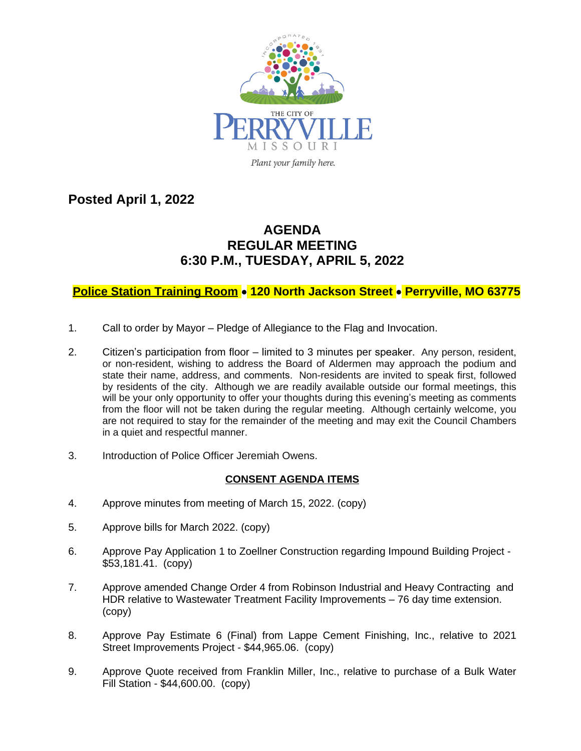

**Posted April 1, 2022**

## **AGENDA REGULAR MEETING 6:30 P.M., TUESDAY, APRIL 5, 2022**

## **Police Station Training Room** · **120 North Jackson Street** · **Perryville, MO 63775**

- 1. Call to order by Mayor Pledge of Allegiance to the Flag and Invocation.
- 2. Citizen's participation from floor limited to 3 minutes per speaker. Any person, resident, or non-resident, wishing to address the Board of Aldermen may approach the podium and state their name, address, and comments. Non-residents are invited to speak first, followed by residents of the city. Although we are readily available outside our formal meetings, this will be your only opportunity to offer your thoughts during this evening's meeting as comments from the floor will not be taken during the regular meeting. Although certainly welcome, you are not required to stay for the remainder of the meeting and may exit the Council Chambers in a quiet and respectful manner.
- 3. Introduction of Police Officer Jeremiah Owens.

## **CONSENT AGENDA ITEMS**

- 4. Approve minutes from meeting of March 15, 2022. (copy)
- 5. Approve bills for March 2022. (copy)
- 6. Approve Pay Application 1 to Zoellner Construction regarding Impound Building Project \$53,181.41. (copy)
- 7. Approve amended Change Order 4 from Robinson Industrial and Heavy Contracting and HDR relative to Wastewater Treatment Facility Improvements – 76 day time extension. (copy)
- 8. Approve Pay Estimate 6 (Final) from Lappe Cement Finishing, Inc., relative to 2021 Street Improvements Project - \$44,965.06. (copy)
- 9. Approve Quote received from Franklin Miller, Inc., relative to purchase of a Bulk Water Fill Station - \$44,600.00. (copy)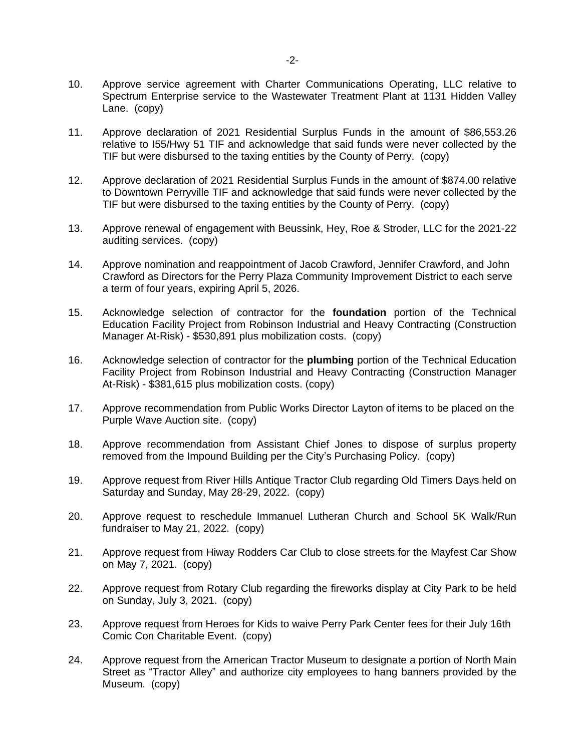- 10. Approve service agreement with Charter Communications Operating, LLC relative to Spectrum Enterprise service to the Wastewater Treatment Plant at 1131 Hidden Valley Lane. (copy)
- 11. Approve declaration of 2021 Residential Surplus Funds in the amount of \$86,553.26 relative to I55/Hwy 51 TIF and acknowledge that said funds were never collected by the TIF but were disbursed to the taxing entities by the County of Perry. (copy)
- 12. Approve declaration of 2021 Residential Surplus Funds in the amount of \$874.00 relative to Downtown Perryville TIF and acknowledge that said funds were never collected by the TIF but were disbursed to the taxing entities by the County of Perry. (copy)
- 13. Approve renewal of engagement with Beussink, Hey, Roe & Stroder, LLC for the 2021-22 auditing services. (copy)
- 14. Approve nomination and reappointment of Jacob Crawford, Jennifer Crawford, and John Crawford as Directors for the Perry Plaza Community Improvement District to each serve a term of four years, expiring April 5, 2026.
- 15. Acknowledge selection of contractor for the **foundation** portion of the Technical Education Facility Project from Robinson Industrial and Heavy Contracting (Construction Manager At-Risk) - \$530,891 plus mobilization costs. (copy)
- 16. Acknowledge selection of contractor for the **plumbing** portion of the Technical Education Facility Project from Robinson Industrial and Heavy Contracting (Construction Manager At-Risk) - \$381,615 plus mobilization costs. (copy)
- 17. Approve recommendation from Public Works Director Layton of items to be placed on the Purple Wave Auction site. (copy)
- 18. Approve recommendation from Assistant Chief Jones to dispose of surplus property removed from the Impound Building per the City's Purchasing Policy. (copy)
- 19. Approve request from River Hills Antique Tractor Club regarding Old Timers Days held on Saturday and Sunday, May 28-29, 2022. (copy)
- 20. Approve request to reschedule Immanuel Lutheran Church and School 5K Walk/Run fundraiser to May 21, 2022. (copy)
- 21. Approve request from Hiway Rodders Car Club to close streets for the Mayfest Car Show on May 7, 2021. (copy)
- 22. Approve request from Rotary Club regarding the fireworks display at City Park to be held on Sunday, July 3, 2021. (copy)
- 23. Approve request from Heroes for Kids to waive Perry Park Center fees for their July 16th Comic Con Charitable Event. (copy)
- 24. Approve request from the American Tractor Museum to designate a portion of North Main Street as "Tractor Alley" and authorize city employees to hang banners provided by the Museum. (copy)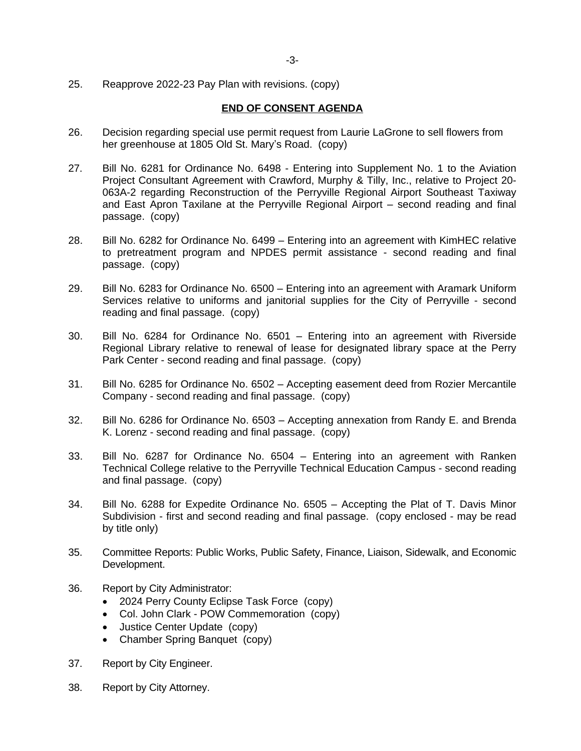25. Reapprove 2022-23 Pay Plan with revisions. (copy)

## **END OF CONSENT AGENDA**

- 26. Decision regarding special use permit request from Laurie LaGrone to sell flowers from her greenhouse at 1805 Old St. Mary's Road. (copy)
- 27. Bill No. 6281 for Ordinance No. 6498 Entering into Supplement No. 1 to the Aviation Project Consultant Agreement with Crawford, Murphy & Tilly, Inc., relative to Project 20- 063A-2 regarding Reconstruction of the Perryville Regional Airport Southeast Taxiway and East Apron Taxilane at the Perryville Regional Airport – second reading and final passage. (copy)
- 28. Bill No. 6282 for Ordinance No. 6499 Entering into an agreement with KimHEC relative to pretreatment program and NPDES permit assistance - second reading and final passage. (copy)
- 29. Bill No. 6283 for Ordinance No. 6500 Entering into an agreement with Aramark Uniform Services relative to uniforms and janitorial supplies for the City of Perryville - second reading and final passage. (copy)
- 30. Bill No. 6284 for Ordinance No. 6501 Entering into an agreement with Riverside Regional Library relative to renewal of lease for designated library space at the Perry Park Center - second reading and final passage. (copy)
- 31. Bill No. 6285 for Ordinance No. 6502 Accepting easement deed from Rozier Mercantile Company - second reading and final passage. (copy)
- 32. Bill No. 6286 for Ordinance No. 6503 Accepting annexation from Randy E. and Brenda K. Lorenz - second reading and final passage. (copy)
- 33. Bill No. 6287 for Ordinance No. 6504 Entering into an agreement with Ranken Technical College relative to the Perryville Technical Education Campus - second reading and final passage. (copy)
- 34. Bill No. 6288 for Expedite Ordinance No. 6505 Accepting the Plat of T. Davis Minor Subdivision - first and second reading and final passage. (copy enclosed - may be read by title only)
- 35. Committee Reports: Public Works, Public Safety, Finance, Liaison, Sidewalk, and Economic Development.
- 36. Report by City Administrator:
	- 2024 Perry County Eclipse Task Force (copy)
	- Col. John Clark POW Commemoration (copy)
	- Justice Center Update (copy)
	- Chamber Spring Banquet (copy)
- 37. Report by City Engineer.
- 38. Report by City Attorney.